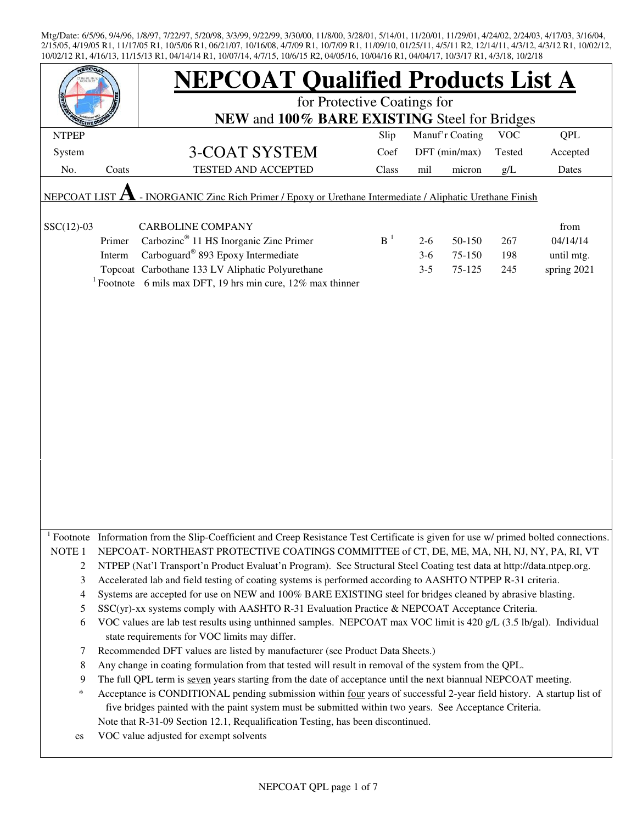| EPCO                                                                                                      |        | <b>NEPCOAT Qualified Products List A</b>                                                                                                                            |                |         |                 |            |             |  |  |
|-----------------------------------------------------------------------------------------------------------|--------|---------------------------------------------------------------------------------------------------------------------------------------------------------------------|----------------|---------|-----------------|------------|-------------|--|--|
|                                                                                                           |        | for Protective Coatings for                                                                                                                                         |                |         |                 |            |             |  |  |
|                                                                                                           |        | NEW and 100% BARE EXISTING Steel for Bridges                                                                                                                        |                |         |                 |            |             |  |  |
| <b>NTPEP</b>                                                                                              |        |                                                                                                                                                                     | Slip           |         | Manuf'r Coating | <b>VOC</b> | <b>QPL</b>  |  |  |
| System                                                                                                    |        | 3-COAT SYSTEM                                                                                                                                                       | Coef           |         | DFT (min/max)   | Tested     | Accepted    |  |  |
| No.                                                                                                       | Coats  | <b>TESTED AND ACCEPTED</b>                                                                                                                                          | Class          | mil     | micron          | g/L        | Dates       |  |  |
| - INORGANIC Zinc Rich Primer / Epoxy or Urethane Intermediate / Aliphatic Urethane Finish<br>NEPCOAT LIST |        |                                                                                                                                                                     |                |         |                 |            |             |  |  |
| $SSC(12)-03$                                                                                              |        | <b>CARBOLINE COMPANY</b>                                                                                                                                            |                |         |                 |            | from        |  |  |
|                                                                                                           | Primer | Carbozinc <sup>®</sup> 11 HS Inorganic Zinc Primer                                                                                                                  | B <sup>1</sup> | $2 - 6$ | 50-150          | 267        | 04/14/14    |  |  |
|                                                                                                           | Interm | Carboguard <sup>®</sup> 893 Epoxy Intermediate                                                                                                                      |                | $3-6$   | 75-150          | 198        | until mtg.  |  |  |
|                                                                                                           |        | Topcoat Carbothane 133 LV Aliphatic Polyurethane                                                                                                                    |                | $3 - 5$ | 75-125          | 245        | spring 2021 |  |  |
|                                                                                                           |        | <sup>1</sup> Footnote 6 mils max DFT, 19 hrs min cure, 12% max thinner                                                                                              |                |         |                 |            |             |  |  |
|                                                                                                           |        |                                                                                                                                                                     |                |         |                 |            |             |  |  |
|                                                                                                           |        |                                                                                                                                                                     |                |         |                 |            |             |  |  |
|                                                                                                           |        |                                                                                                                                                                     |                |         |                 |            |             |  |  |
|                                                                                                           |        |                                                                                                                                                                     |                |         |                 |            |             |  |  |
|                                                                                                           |        |                                                                                                                                                                     |                |         |                 |            |             |  |  |
|                                                                                                           |        |                                                                                                                                                                     |                |         |                 |            |             |  |  |
|                                                                                                           |        |                                                                                                                                                                     |                |         |                 |            |             |  |  |
|                                                                                                           |        |                                                                                                                                                                     |                |         |                 |            |             |  |  |
|                                                                                                           |        |                                                                                                                                                                     |                |         |                 |            |             |  |  |
|                                                                                                           |        |                                                                                                                                                                     |                |         |                 |            |             |  |  |
|                                                                                                           |        |                                                                                                                                                                     |                |         |                 |            |             |  |  |
|                                                                                                           |        |                                                                                                                                                                     |                |         |                 |            |             |  |  |
|                                                                                                           |        |                                                                                                                                                                     |                |         |                 |            |             |  |  |
|                                                                                                           |        |                                                                                                                                                                     |                |         |                 |            |             |  |  |
|                                                                                                           |        |                                                                                                                                                                     |                |         |                 |            |             |  |  |
|                                                                                                           |        |                                                                                                                                                                     |                |         |                 |            |             |  |  |
|                                                                                                           |        |                                                                                                                                                                     |                |         |                 |            |             |  |  |
|                                                                                                           |        | Footnote Information from the Slip-Coefficient and Creep Resistance Test Certificate is given for use w/ primed bolted connections.                                 |                |         |                 |            |             |  |  |
| NOTE <sub>1</sub>                                                                                         |        | NEPCOAT-NORTHEAST PROTECTIVE COATINGS COMMITTEE of CT, DE, ME, MA, NH, NJ, NY, PA, RI, VT                                                                           |                |         |                 |            |             |  |  |
| $\overline{c}$                                                                                            |        | NTPEP (Nat'l Transport'n Product Evaluat'n Program). See Structural Steel Coating test data at http://data.ntpep.org.                                               |                |         |                 |            |             |  |  |
| 3                                                                                                         |        | Accelerated lab and field testing of coating systems is performed according to AASHTO NTPEP R-31 criteria.                                                          |                |         |                 |            |             |  |  |
| 4                                                                                                         |        | Systems are accepted for use on NEW and 100% BARE EXISTING steel for bridges cleaned by abrasive blasting.                                                          |                |         |                 |            |             |  |  |
| 5                                                                                                         |        | SSC(yr)-xx systems comply with AASHTO R-31 Evaluation Practice & NEPCOAT Acceptance Criteria.                                                                       |                |         |                 |            |             |  |  |
| 6                                                                                                         |        | VOC values are lab test results using unthinned samples. NEPCOAT max VOC limit is 420 g/L (3.5 lb/gal). Individual<br>state requirements for VOC limits may differ. |                |         |                 |            |             |  |  |
| 7                                                                                                         |        | Recommended DFT values are listed by manufacturer (see Product Data Sheets.)                                                                                        |                |         |                 |            |             |  |  |
| 8                                                                                                         |        | Any change in coating formulation from that tested will result in removal of the system from the QPL.                                                               |                |         |                 |            |             |  |  |
| 9                                                                                                         |        | The full QPL term is seven years starting from the date of acceptance until the next biannual NEPCOAT meeting.                                                      |                |         |                 |            |             |  |  |
| $\ast$                                                                                                    |        | Acceptance is CONDITIONAL pending submission within four years of successful 2-year field history. A startup list of                                                |                |         |                 |            |             |  |  |
|                                                                                                           |        | five bridges painted with the paint system must be submitted within two years. See Acceptance Criteria.                                                             |                |         |                 |            |             |  |  |
|                                                                                                           |        | Note that R-31-09 Section 12.1, Requalification Testing, has been discontinued.                                                                                     |                |         |                 |            |             |  |  |
| es                                                                                                        |        | VOC value adjusted for exempt solvents                                                                                                                              |                |         |                 |            |             |  |  |
|                                                                                                           |        |                                                                                                                                                                     |                |         |                 |            |             |  |  |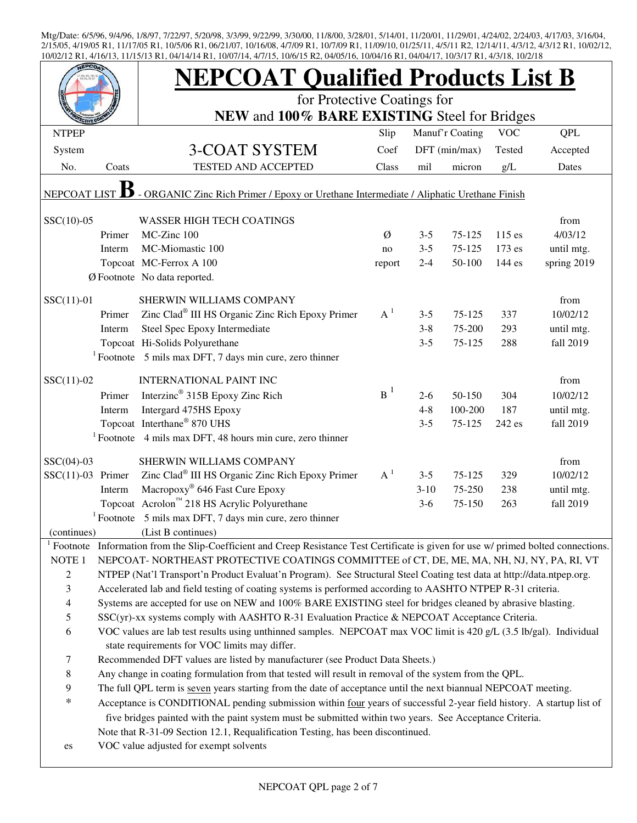|                          |        | <b>NEPCOAT Qualified Products List B</b>                                                                                   |        |         |                 |            |             |
|--------------------------|--------|----------------------------------------------------------------------------------------------------------------------------|--------|---------|-----------------|------------|-------------|
|                          |        | for Protective Coatings for                                                                                                |        |         |                 |            |             |
|                          |        | NEW and 100% BARE EXISTING Steel for Bridges                                                                               |        |         |                 |            |             |
| <b>NTPEP</b>             |        |                                                                                                                            | Slip   |         | Manuf'r Coating | <b>VOC</b> | QPL         |
| System                   |        | 3-COAT SYSTEM                                                                                                              | Coef   |         | DFT (min/max)   | Tested     | Accepted    |
| No.                      | Coats  | <b>TESTED AND ACCEPTED</b>                                                                                                 | Class  | mil     | micron          | g/L        | Dates       |
| <b>NEPCOAT LIST</b>      |        | - ORGANIC Zinc Rich Primer / Epoxy or Urethane Intermediate / Aliphatic Urethane Finish                                    |        |         |                 |            |             |
| $SSC(10)-05$             |        | <b>WASSER HIGH TECH COATINGS</b>                                                                                           |        |         |                 |            | from        |
|                          | Primer | MC-Zinc 100                                                                                                                | Ø      | $3 - 5$ | 75-125          | $115$ es   | 4/03/12     |
|                          | Interm | MC-Miomastic 100                                                                                                           | no     | $3 - 5$ | 75-125          | 173 es     | until mtg.  |
|                          |        | Topcoat MC-Ferrox A 100                                                                                                    | report | $2 - 4$ | 50-100          | 144 es     | spring 2019 |
|                          |        | Ø Footnote No data reported.                                                                                               |        |         |                 |            |             |
| $SSC(11)-01$             |        | SHERWIN WILLIAMS COMPANY                                                                                                   |        |         |                 |            | from        |
|                          | Primer | Zinc Clad <sup>®</sup> III HS Organic Zinc Rich Epoxy Primer                                                               | $A^1$  | $3 - 5$ | 75-125          | 337        | 10/02/12    |
|                          | Interm | Steel Spec Epoxy Intermediate                                                                                              |        | $3 - 8$ | 75-200          | 293        | until mtg.  |
|                          |        | Topcoat Hi-Solids Polyurethane                                                                                             |        | $3 - 5$ | 75-125          | 288        | fall 2019   |
|                          |        | $1$ Footnote 5 mils max DFT, 7 days min cure, zero thinner                                                                 |        |         |                 |            |             |
| $SSC(11)-02$             |        | <b>INTERNATIONAL PAINT INC</b>                                                                                             |        |         |                 |            | from        |
|                          | Primer | Interzinc <sup>®</sup> 315B Epoxy Zinc Rich                                                                                | $B^1$  | $2-6$   | 50-150          | 304        | 10/02/12    |
|                          | Interm | Intergard 475HS Epoxy                                                                                                      |        | $4 - 8$ | 100-200         | 187        | until mtg.  |
|                          |        | Topcoat Interthane® 870 UHS                                                                                                |        | $3 - 5$ | 75-125          | 242 es     | fall 2019   |
|                          |        | <sup>1</sup> Footnote $\,$ 4 mils max DFT, 48 hours min cure, zero thinner                                                 |        |         |                 |            |             |
| $SSC(04)-03$             |        | SHERWIN WILLIAMS COMPANY                                                                                                   |        |         |                 |            | from        |
| $SSC(11)-03$ Primer      |        | Zinc Clad <sup>®</sup> III HS Organic Zinc Rich Epoxy Primer                                                               | $A^1$  | $3 - 5$ | $75 - 125$      | 329        | 10/02/12    |
|                          | Interm | Macropoxy® 646 Fast Cure Epoxy                                                                                             |        | $3-10$  | 75-250          | 238        | until mtg.  |
|                          |        | Topcoat Acrolon™ 218 HS Acrylic Polyurethane                                                                               |        | $3-6$   | 75-150          | 263        | fall 2019   |
|                          |        | $1$ Footnote 5 mils max DFT, 7 days min cure, zero thinner                                                                 |        |         |                 |            |             |
| (continues)              |        | (List B continues)                                                                                                         |        |         |                 |            |             |
| Footnote                 |        | Information from the Slip-Coefficient and Creep Resistance Test Certificate is given for use w/ primed bolted connections. |        |         |                 |            |             |
| NOTE <sub>1</sub>        |        | NEPCOAT-NORTHEAST PROTECTIVE COATINGS COMMITTEE of CT, DE, ME, MA, NH, NJ, NY, PA, RI, VT                                  |        |         |                 |            |             |
| $\overline{c}$           |        | NTPEP (Nat'l Transport'n Product Evaluat'n Program). See Structural Steel Coating test data at http://data.ntpep.org.      |        |         |                 |            |             |
| 3                        |        | Accelerated lab and field testing of coating systems is performed according to AASHTO NTPEP R-31 criteria.                 |        |         |                 |            |             |
| $\overline{\mathcal{A}}$ |        | Systems are accepted for use on NEW and 100% BARE EXISTING steel for bridges cleaned by abrasive blasting.                 |        |         |                 |            |             |
| 5                        |        | SSC(yr)-xx systems comply with AASHTO R-31 Evaluation Practice & NEPCOAT Acceptance Criteria.                              |        |         |                 |            |             |
| 6                        |        | VOC values are lab test results using unthinned samples. NEPCOAT max VOC limit is 420 g/L (3.5 lb/gal). Individual         |        |         |                 |            |             |
|                          |        | state requirements for VOC limits may differ.                                                                              |        |         |                 |            |             |
| 7                        |        | Recommended DFT values are listed by manufacturer (see Product Data Sheets.)                                               |        |         |                 |            |             |
| 8                        |        | Any change in coating formulation from that tested will result in removal of the system from the QPL.                      |        |         |                 |            |             |
| 9<br>$\ast$              |        | The full QPL term is seven years starting from the date of acceptance until the next biannual NEPCOAT meeting.             |        |         |                 |            |             |
|                          |        | Acceptance is CONDITIONAL pending submission within four years of successful 2-year field history. A startup list of       |        |         |                 |            |             |
|                          |        | five bridges painted with the paint system must be submitted within two years. See Acceptance Criteria.                    |        |         |                 |            |             |
|                          |        | Note that R-31-09 Section 12.1, Requalification Testing, has been discontinued.                                            |        |         |                 |            |             |
| es                       |        | VOC value adjusted for exempt solvents                                                                                     |        |         |                 |            |             |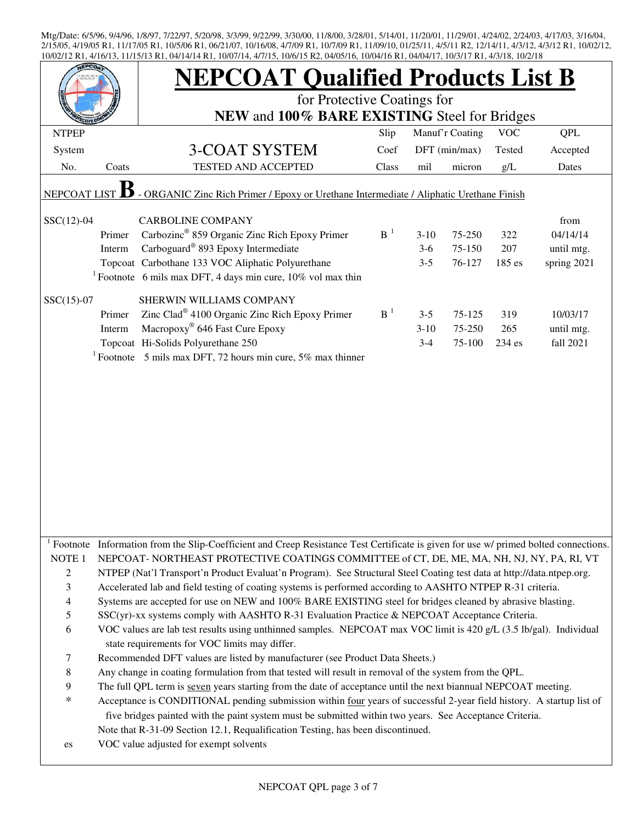| EPCO                                                                                                           |        | <b>NEPCOAT Qualified Products List B</b><br>for Protective Coatings for                                                                                                                                                                                                                                                                                      |          |          |                 |            |             |  |
|----------------------------------------------------------------------------------------------------------------|--------|--------------------------------------------------------------------------------------------------------------------------------------------------------------------------------------------------------------------------------------------------------------------------------------------------------------------------------------------------------------|----------|----------|-----------------|------------|-------------|--|
|                                                                                                                |        | NEW and 100% BARE EXISTING Steel for Bridges                                                                                                                                                                                                                                                                                                                 |          |          |                 |            |             |  |
| <b>NTPEP</b>                                                                                                   |        |                                                                                                                                                                                                                                                                                                                                                              | Slip     |          | Manuf'r Coating | <b>VOC</b> | QPL         |  |
| System                                                                                                         |        | 3-COAT SYSTEM                                                                                                                                                                                                                                                                                                                                                | Coef     |          | DFT (min/max)   | Tested     | Accepted    |  |
| No.                                                                                                            | Coats  | TESTED AND ACCEPTED                                                                                                                                                                                                                                                                                                                                          | Class    | mil      | micron          | g/L        | Dates       |  |
| - ORGANIC Zinc Rich Primer / Epoxy or Urethane Intermediate / Aliphatic Urethane Finish<br><b>NEPCOAT LIST</b> |        |                                                                                                                                                                                                                                                                                                                                                              |          |          |                 |            |             |  |
| $SSC(12)-04$                                                                                                   |        | <b>CARBOLINE COMPANY</b>                                                                                                                                                                                                                                                                                                                                     |          |          |                 |            | from        |  |
|                                                                                                                | Primer | Carbozinc <sup>®</sup> 859 Organic Zinc Rich Epoxy Primer                                                                                                                                                                                                                                                                                                    | $B^{-1}$ | $3-10$   | 75-250          | 322        | 04/14/14    |  |
|                                                                                                                | Interm | Carboguard <sup>®</sup> 893 Epoxy Intermediate                                                                                                                                                                                                                                                                                                               |          | $3-6$    | 75-150          | 207        | until mtg.  |  |
|                                                                                                                |        | Topcoat Carbothane 133 VOC Aliphatic Polyurethane                                                                                                                                                                                                                                                                                                            |          | $3 - 5$  | 76-127          | 185 es     | spring 2021 |  |
|                                                                                                                |        | <sup>1</sup> Footnote 6 mils max DFT, 4 days min cure, $10\%$ vol max thin                                                                                                                                                                                                                                                                                   |          |          |                 |            |             |  |
| $SSC(15)-07$                                                                                                   |        | SHERWIN WILLIAMS COMPANY                                                                                                                                                                                                                                                                                                                                     |          |          |                 |            |             |  |
|                                                                                                                | Primer | Zinc Clad <sup>®</sup> 4100 Organic Zinc Rich Epoxy Primer                                                                                                                                                                                                                                                                                                   | $B-1$    | $3 - 5$  | 75-125          | 319        | 10/03/17    |  |
|                                                                                                                | Interm | Macropoxy <sup>®</sup> 646 Fast Cure Epoxy                                                                                                                                                                                                                                                                                                                   |          | $3 - 10$ | 75-250          | 265        | until mtg.  |  |
|                                                                                                                |        | Topcoat Hi-Solids Polyurethane 250                                                                                                                                                                                                                                                                                                                           |          | $3-4$    | 75-100          | 234 es     | fall 2021   |  |
|                                                                                                                |        | <sup>1</sup> Footnote 5 mils max DFT, 72 hours min cure, 5% max thinner                                                                                                                                                                                                                                                                                      |          |          |                 |            |             |  |
|                                                                                                                |        |                                                                                                                                                                                                                                                                                                                                                              |          |          |                 |            |             |  |
|                                                                                                                |        | Footnote Information from the Slip-Coefficient and Creep Resistance Test Certificate is given for use w/ primed bolted connections.                                                                                                                                                                                                                          |          |          |                 |            |             |  |
| NOTE <sub>1</sub>                                                                                              |        | NEPCOAT-NORTHEAST PROTECTIVE COATINGS COMMITTEE of CT, DE, ME, MA, NH, NJ, NY, PA, RI, VT                                                                                                                                                                                                                                                                    |          |          |                 |            |             |  |
| 2                                                                                                              |        | NTPEP (Nat'l Transport'n Product Evaluat'n Program). See Structural Steel Coating test data at http://data.ntpep.org.                                                                                                                                                                                                                                        |          |          |                 |            |             |  |
| 3                                                                                                              |        | Accelerated lab and field testing of coating systems is performed according to AASHTO NTPEP R-31 criteria.                                                                                                                                                                                                                                                   |          |          |                 |            |             |  |
| $\overline{4}$                                                                                                 |        | Systems are accepted for use on NEW and 100% BARE EXISTING steel for bridges cleaned by abrasive blasting.                                                                                                                                                                                                                                                   |          |          |                 |            |             |  |
| $\mathfrak s$                                                                                                  |        | SSC(yr)-xx systems comply with AASHTO R-31 Evaluation Practice & NEPCOAT Acceptance Criteria.                                                                                                                                                                                                                                                                |          |          |                 |            |             |  |
| 6                                                                                                              |        | VOC values are lab test results using unthinned samples. NEPCOAT max VOC limit is 420 g/L (3.5 lb/gal). Individual<br>state requirements for VOC limits may differ.                                                                                                                                                                                          |          |          |                 |            |             |  |
| $\tau$                                                                                                         |        | Recommended DFT values are listed by manufacturer (see Product Data Sheets.)                                                                                                                                                                                                                                                                                 |          |          |                 |            |             |  |
| 8                                                                                                              |        | Any change in coating formulation from that tested will result in removal of the system from the QPL.                                                                                                                                                                                                                                                        |          |          |                 |            |             |  |
| 9                                                                                                              |        | The full QPL term is seven years starting from the date of acceptance until the next biannual NEPCOAT meeting.                                                                                                                                                                                                                                               |          |          |                 |            |             |  |
| $\ast$<br>es                                                                                                   |        | Acceptance is CONDITIONAL pending submission within four years of successful 2-year field history. A startup list of<br>five bridges painted with the paint system must be submitted within two years. See Acceptance Criteria.<br>Note that R-31-09 Section 12.1, Requalification Testing, has been discontinued.<br>VOC value adjusted for exempt solvents |          |          |                 |            |             |  |
|                                                                                                                |        |                                                                                                                                                                                                                                                                                                                                                              |          |          |                 |            |             |  |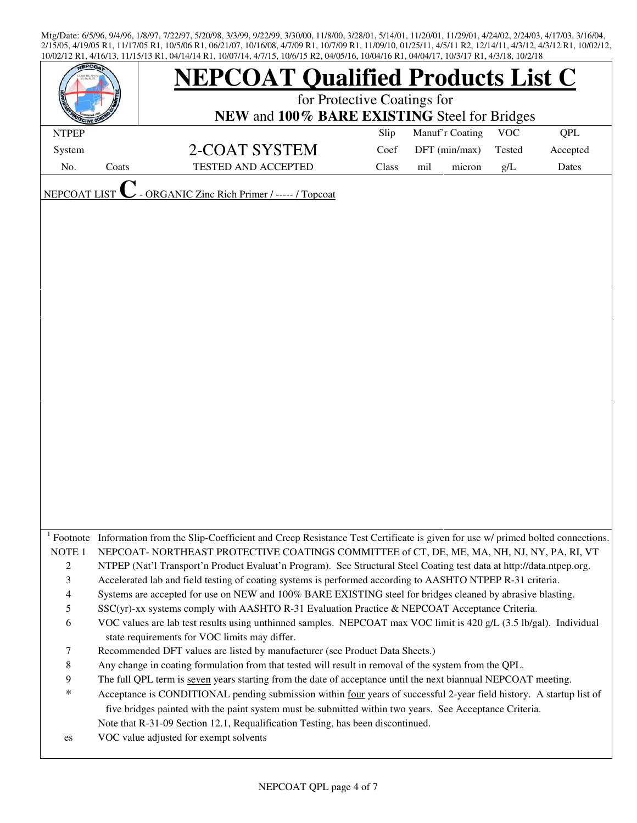|                   |       | <b>NEPCOAT Qualified Products List C</b>                                                                                                                            |       |                 |        |            |          |  |  |
|-------------------|-------|---------------------------------------------------------------------------------------------------------------------------------------------------------------------|-------|-----------------|--------|------------|----------|--|--|
|                   |       | for Protective Coatings for                                                                                                                                         |       |                 |        |            |          |  |  |
|                   |       | NEW and 100% BARE EXISTING Steel for Bridges                                                                                                                        |       |                 |        |            |          |  |  |
| <b>NTPEP</b>      |       |                                                                                                                                                                     | Slip  | Manuf'r Coating |        | <b>VOC</b> | QPL      |  |  |
| System            |       | 2-COAT SYSTEM                                                                                                                                                       | Coef  | DFT (min/max)   |        | Tested     | Accepted |  |  |
| No.               | Coats | <b>TESTED AND ACCEPTED</b>                                                                                                                                          | Class | mil             | micron | g/L        | Dates    |  |  |
|                   |       |                                                                                                                                                                     |       |                 |        |            |          |  |  |
| NEPCOAT LIST      |       | ORGANIC Zinc Rich Primer / ----- / Topcoat                                                                                                                          |       |                 |        |            |          |  |  |
|                   |       |                                                                                                                                                                     |       |                 |        |            |          |  |  |
|                   |       |                                                                                                                                                                     |       |                 |        |            |          |  |  |
|                   |       |                                                                                                                                                                     |       |                 |        |            |          |  |  |
|                   |       |                                                                                                                                                                     |       |                 |        |            |          |  |  |
|                   |       |                                                                                                                                                                     |       |                 |        |            |          |  |  |
|                   |       |                                                                                                                                                                     |       |                 |        |            |          |  |  |
|                   |       |                                                                                                                                                                     |       |                 |        |            |          |  |  |
|                   |       |                                                                                                                                                                     |       |                 |        |            |          |  |  |
|                   |       |                                                                                                                                                                     |       |                 |        |            |          |  |  |
|                   |       |                                                                                                                                                                     |       |                 |        |            |          |  |  |
|                   |       |                                                                                                                                                                     |       |                 |        |            |          |  |  |
|                   |       |                                                                                                                                                                     |       |                 |        |            |          |  |  |
|                   |       |                                                                                                                                                                     |       |                 |        |            |          |  |  |
|                   |       |                                                                                                                                                                     |       |                 |        |            |          |  |  |
|                   |       |                                                                                                                                                                     |       |                 |        |            |          |  |  |
|                   |       |                                                                                                                                                                     |       |                 |        |            |          |  |  |
|                   |       |                                                                                                                                                                     |       |                 |        |            |          |  |  |
|                   |       |                                                                                                                                                                     |       |                 |        |            |          |  |  |
|                   |       |                                                                                                                                                                     |       |                 |        |            |          |  |  |
|                   |       |                                                                                                                                                                     |       |                 |        |            |          |  |  |
|                   |       |                                                                                                                                                                     |       |                 |        |            |          |  |  |
|                   |       | Footnote Information from the Slip-Coefficient and Creep Resistance Test Certificate is given for use w/ primed bolted connections.                                 |       |                 |        |            |          |  |  |
| NOTE <sub>1</sub> |       | NEPCOAT-NORTHEAST PROTECTIVE COATINGS COMMITTEE of CT, DE, ME, MA, NH, NJ, NY, PA, RI, VT                                                                           |       |                 |        |            |          |  |  |
| $\overline{c}$    |       | NTPEP (Nat'l Transport'n Product Evaluat'n Program). See Structural Steel Coating test data at http://data.ntpep.org.                                               |       |                 |        |            |          |  |  |
| $\mathfrak{Z}$    |       | Accelerated lab and field testing of coating systems is performed according to AASHTO NTPEP R-31 criteria.                                                          |       |                 |        |            |          |  |  |
| $\overline{4}$    |       | Systems are accepted for use on NEW and 100% BARE EXISTING steel for bridges cleaned by abrasive blasting.                                                          |       |                 |        |            |          |  |  |
| 5                 |       | SSC(yr)-xx systems comply with AASHTO R-31 Evaluation Practice & NEPCOAT Acceptance Criteria.                                                                       |       |                 |        |            |          |  |  |
| 6                 |       | VOC values are lab test results using unthinned samples. NEPCOAT max VOC limit is 420 g/L (3.5 lb/gal). Individual<br>state requirements for VOC limits may differ. |       |                 |        |            |          |  |  |
| 7                 |       | Recommended DFT values are listed by manufacturer (see Product Data Sheets.)                                                                                        |       |                 |        |            |          |  |  |
| $\,8\,$           |       | Any change in coating formulation from that tested will result in removal of the system from the QPL.                                                               |       |                 |        |            |          |  |  |
| 9                 |       | The full QPL term is seven years starting from the date of acceptance until the next biannual NEPCOAT meeting.                                                      |       |                 |        |            |          |  |  |
| $\ast$            |       | Acceptance is CONDITIONAL pending submission within four years of successful 2-year field history. A startup list of                                                |       |                 |        |            |          |  |  |
|                   |       | five bridges painted with the paint system must be submitted within two years. See Acceptance Criteria.                                                             |       |                 |        |            |          |  |  |
|                   |       | Note that R-31-09 Section 12.1, Requalification Testing, has been discontinued.                                                                                     |       |                 |        |            |          |  |  |
| es                |       | VOC value adjusted for exempt solvents                                                                                                                              |       |                 |        |            |          |  |  |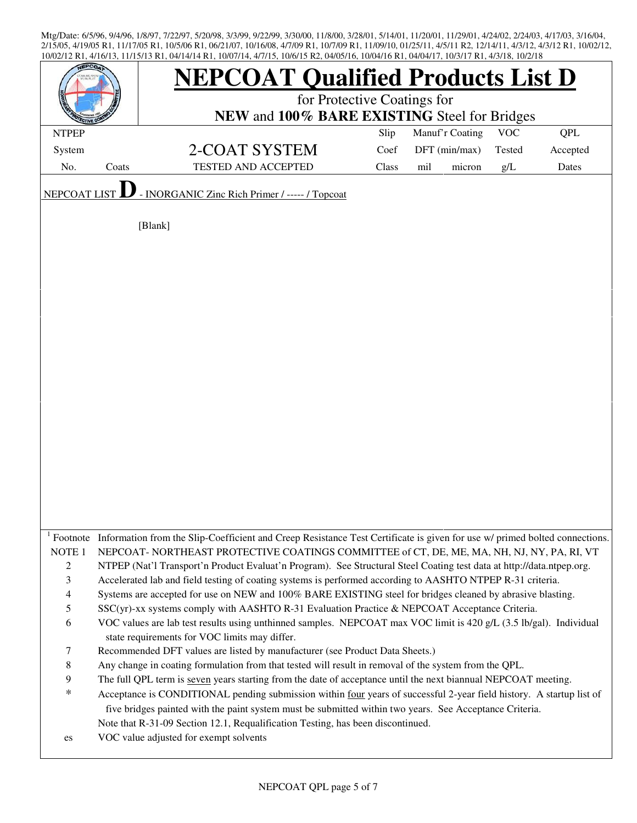| EPCO <sub>2</sub>        |       | <b>NEPCOAT Qualified Products List D</b>                                                                                                                            |       |                 |            |            |  |  |
|--------------------------|-------|---------------------------------------------------------------------------------------------------------------------------------------------------------------------|-------|-----------------|------------|------------|--|--|
|                          |       | for Protective Coatings for                                                                                                                                         |       |                 |            |            |  |  |
|                          |       | NEW and 100% BARE EXISTING Steel for Bridges                                                                                                                        |       |                 |            |            |  |  |
| <b>NTPEP</b>             |       |                                                                                                                                                                     | Slip  | Manuf'r Coating | <b>VOC</b> | <b>QPL</b> |  |  |
| System                   |       | 2-COAT SYSTEM                                                                                                                                                       | Coef  | DFT (min/max)   | Tested     | Accepted   |  |  |
| No.                      | Coats | <b>TESTED AND ACCEPTED</b>                                                                                                                                          | Class | mil<br>micron   | g/L        | Dates      |  |  |
| NEPCOAT LIST             |       | - INORGANIC Zinc Rich Primer / ----- / Topcoat                                                                                                                      |       |                 |            |            |  |  |
|                          |       |                                                                                                                                                                     |       |                 |            |            |  |  |
|                          |       | [Blank]                                                                                                                                                             |       |                 |            |            |  |  |
|                          |       |                                                                                                                                                                     |       |                 |            |            |  |  |
|                          |       |                                                                                                                                                                     |       |                 |            |            |  |  |
|                          |       |                                                                                                                                                                     |       |                 |            |            |  |  |
|                          |       |                                                                                                                                                                     |       |                 |            |            |  |  |
|                          |       |                                                                                                                                                                     |       |                 |            |            |  |  |
|                          |       |                                                                                                                                                                     |       |                 |            |            |  |  |
|                          |       |                                                                                                                                                                     |       |                 |            |            |  |  |
|                          |       |                                                                                                                                                                     |       |                 |            |            |  |  |
|                          |       |                                                                                                                                                                     |       |                 |            |            |  |  |
|                          |       |                                                                                                                                                                     |       |                 |            |            |  |  |
|                          |       |                                                                                                                                                                     |       |                 |            |            |  |  |
|                          |       |                                                                                                                                                                     |       |                 |            |            |  |  |
|                          |       |                                                                                                                                                                     |       |                 |            |            |  |  |
|                          |       |                                                                                                                                                                     |       |                 |            |            |  |  |
|                          |       |                                                                                                                                                                     |       |                 |            |            |  |  |
|                          |       |                                                                                                                                                                     |       |                 |            |            |  |  |
|                          |       |                                                                                                                                                                     |       |                 |            |            |  |  |
|                          |       |                                                                                                                                                                     |       |                 |            |            |  |  |
|                          |       | Footnote Information from the Slip-Coefficient and Creep Resistance Test Certificate is given for use w/ primed bolted connections.                                 |       |                 |            |            |  |  |
| NOTE <sub>1</sub>        |       | NEPCOAT-NORTHEAST PROTECTIVE COATINGS COMMITTEE of CT, DE, ME, MA, NH, NJ, NY, PA, RI, VT                                                                           |       |                 |            |            |  |  |
| $\overline{c}$           |       | NTPEP (Nat'l Transport'n Product Evaluat'n Program). See Structural Steel Coating test data at http://data.ntpep.org.                                               |       |                 |            |            |  |  |
| 3                        |       | Accelerated lab and field testing of coating systems is performed according to AASHTO NTPEP R-31 criteria.                                                          |       |                 |            |            |  |  |
| $\overline{\mathcal{L}}$ |       | Systems are accepted for use on NEW and 100% BARE EXISTING steel for bridges cleaned by abrasive blasting.                                                          |       |                 |            |            |  |  |
| 5                        |       | SSC(yr)-xx systems comply with AASHTO R-31 Evaluation Practice & NEPCOAT Acceptance Criteria.                                                                       |       |                 |            |            |  |  |
| 6                        |       | VOC values are lab test results using unthinned samples. NEPCOAT max VOC limit is 420 g/L (3.5 lb/gal). Individual<br>state requirements for VOC limits may differ. |       |                 |            |            |  |  |
| 7                        |       | Recommended DFT values are listed by manufacturer (see Product Data Sheets.)                                                                                        |       |                 |            |            |  |  |
| $\,$ 8 $\,$              |       | Any change in coating formulation from that tested will result in removal of the system from the QPL.                                                               |       |                 |            |            |  |  |
| 9                        |       | The full QPL term is seven years starting from the date of acceptance until the next biannual NEPCOAT meeting.                                                      |       |                 |            |            |  |  |
| $\ast$                   |       | Acceptance is CONDITIONAL pending submission within four years of successful 2-year field history. A startup list of                                                |       |                 |            |            |  |  |
|                          |       | five bridges painted with the paint system must be submitted within two years. See Acceptance Criteria.                                                             |       |                 |            |            |  |  |
|                          |       | Note that R-31-09 Section 12.1, Requalification Testing, has been discontinued.                                                                                     |       |                 |            |            |  |  |
| es                       |       | VOC value adjusted for exempt solvents                                                                                                                              |       |                 |            |            |  |  |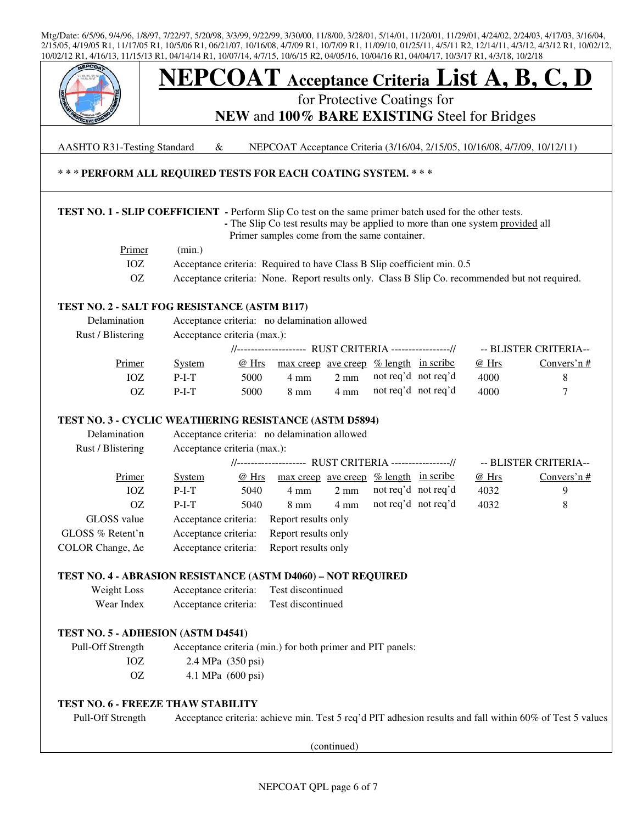